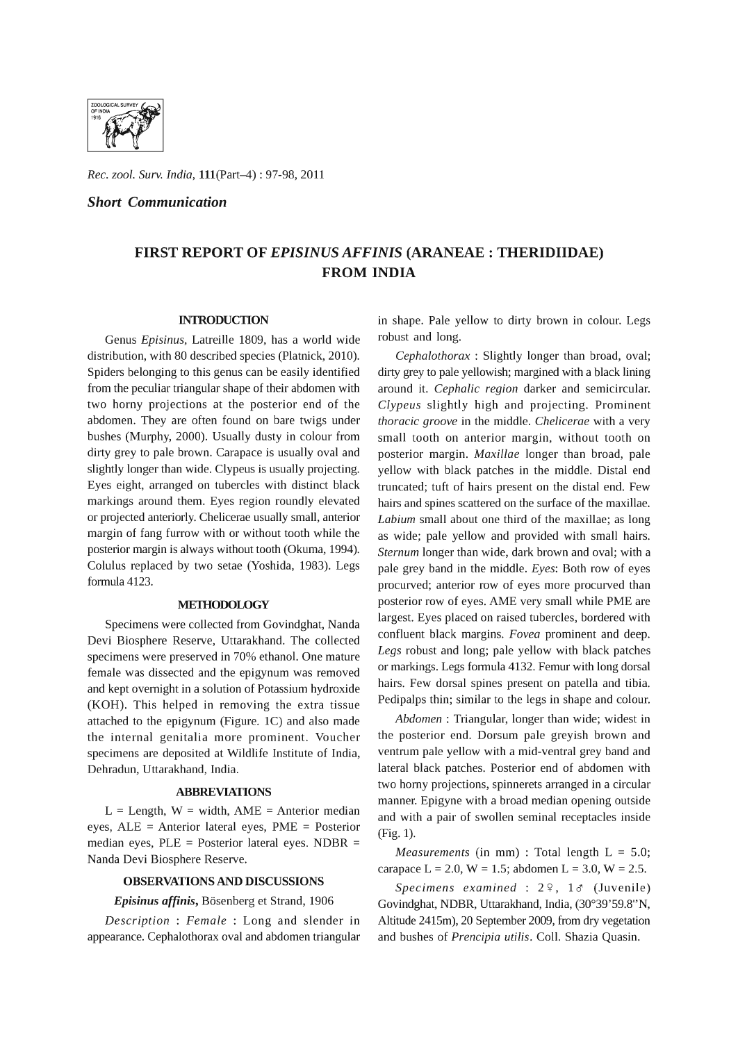

*Rec. zool. Surv. India,* l11(Part-4) : 97-98, 2011

*Short Communication* 

# **FIRST REPORT OF** *EPISINUS AFFINIS* **(ARANEAE : THERIDIIDAE) FROM INDIA**

## **INTRODUCTION**

Genus *Episinus,* Latreille 1809, has a world wide distribution, with 80 described species (Platnick, 2010). Spiders belonging to this genus can be easily identified from the peculiar triangular shape of their abdomen with two horny projections at the posterior end of the abdomen. They are often found on bare twigs under bushes (Murphy, 2000). Usually dusty in colour from dirty grey to pale brown. Carapace is usually oval and slightly longer than wide. Clypeus is usually projecting. Eyes eight, arranged on tubercles with distinct black markings around them. Eyes region roundly elevated or projected anteriorly. Chelicerae usually small, anterior margin of fang furrow with or without tooth while the posterior margin is always without tooth (Okuma, 1994). Colulus replaced by two setae (Yoshida, 1983). Legs formula 4123.

#### **ME'IHODOLOGY**

Specimens were collected from Govindghat, Nanda Devi Biosphere Reserve, Uttarakhand. The collected specimens were preserved in 70% ethanol. One mature female was dissected and the epigynum was removed and kept overnight in a solution of Potassium hydroxide (KOH). This helped in removing the extra tissue attached to the epigynum (Figure. 1C) and also made the internal genitalia more prominent. Voucher specimens are deposited at Wildlife Institute of India, Dehradun, Uttarakhand, India.

#### **ABBREVIATIONS**

 $L =$  Length,  $W =$  width,  $AME =$  Anterior median eyes, ALE = Anterior lateral eyes, PME = Posterior median eyes, PLE = Posterior lateral eyes. NDBR = Nanda Devi Biosphere Reserve.

#### **OBSERVATIONS AND DISCUSSIONS**

# Episinus affinis, Bösenberg et Strand, 1906

*Description* : *Female* : Long and slender in appearance. Cephalothorax oval and abdomen triangular

in shape. Pale yellow to dirty brown in colour. Legs robust and long.

*Cephalothorax* : Slightly longer than broad, oval; dirty grey to pale yellowish; margined with a black lining around it. *Cephalic region* darker and semicircular. *Clypeus* slightly high and projecting. Prominent *thoracic groove* in the middle. *Chelicerae* with a very small tooth on anterior margin, without tooth on posterior margin. *Maxillae* longer than broad, pale yellow with black patches in the middle. Distal end truncated; tuft of hairs present on the distal end. Few hairs and spines scattered on the surface of the maxillae. *Labium* small about one third of the maxillae; as long as wide; pale yellow and provided with small hairs. *Sternum* longer than wide, dark brown and oval; with a pale grey band in the middle. *Eyes:* Both row of eyes procurved; anterior row of eyes more procurved than posterior row of eyes. AME very small while PME are largest. Eyes placed on raised tubercles, bordered with confluent black margins. *Fovea* prominent and deep. *Legs* robust and long; pale yellow with black patches or markings. Legs formula 4132. Femur with long dorsal hairs. Few dorsal spines present on patella and tibia. Pedipalps thin; similar to the legs in shape and colour.

*Abdomen:* Triangular, longer than wide; widest in the posterior end. Dorsum pale greyish brown and ventrum pale yellow with a mid-ventral grey band and lateral black patches. Posterior end of abdomen with two horny projections, spinnerets arranged in a circular manner. Epigyne with a broad median opening outside and with a pair of swollen seminal receptacles inside (Fig. 1).

*Measurements* (in mm) : Total length L = 5.0; carapace  $L = 2.0$ ,  $W = 1.5$ ; abdomen  $L = 3.0$ ,  $W = 2.5$ .

*Specimens examined* : 2º, 1& (Juvenile) Govindghat, NDBR, Uttarakhand, India, (30°39'59.8"N, Altitude 2415m), 20 September 2009, from dry vegetation and bushes of *Prencipia utilis.* ColI. Shazia Quasin.